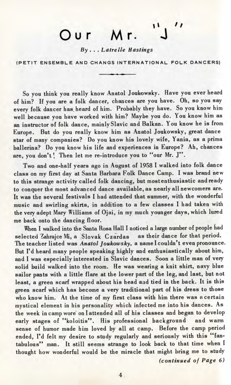## $\mathbf{r}_i$ Our Mr.

*By* . . . *Latrelle Hastings*

(PETIT ENSEMBLE AND CHANGS INTERNATIONAL FOLK DANCERS)

So you think you really know Anatol Joukowsky. Have you ever heard of him? If you are a folk dancer, chances are you have. Oh, so you say every folk dancer has. heard of him. Probably they have. So you know him well because you have worked with him? Maybe you do. You know him as an instructor of folk dance, mainly Slavic and Balkan. You know he is from Europe. But do you really know him as Anatol Joukowsky, great dance star of many companies? Do you know his lovely wife, Yania, as a prima ballerina? Do you know his life and experiences in Europe? Ah, chances are, you don't! Then let me re-introduce you to "our Mr. J".

Two and one-half years ago in August of 1958 I walked into folk dance class on my first day at Santa Barbara Folk Dance Camp. I was brand new to this strange activity called folk dancing, but mostenthusiastic and ready to conquer the most advanced dance available, as nearly all newcomers are. It was the several festivals I had attended that summer, with the wonderful music and swirling skirts, in addition to a few classes I had taken with the very adept Mary Williams of Ojai, in my much younger days, which lured me back onto the dancing floor.

When I walked into the Santa Rosa Hall I noticed a large number of people had selected Zahrajce Mi, a Slovak Czardas as their dance for that period. The teacher listed was *Anatol Joukowsky,* a name I couldn't even pronounce. But I'd heard many people speaking highly and enthusiastically about him, and I was especially interested in Slavic dances. Soon a little man of very solid build walked into the room. He was wearing a knit shirt, navy blue sailor pants with a little flare at the lower part of the leg, and last, but not least, a green scarf wrapped about his head and tied in the back. It is this green scarf which has become a very traditional part of his dress to those who know him. At the time of my first class with him there was a certain mystical element in his personality which infected me into his dances. As the week in camp wore on I attended all of his classes and began to develop early stages of "koloitis". His professional background and warm sense of humor made him loved by all at camp. Before the camp period ended, I'd felt my desire to study regularly and seriously with this "fantabulous" man. It still seems strange to look back to that time when I thought how wonderful would be the miracle that might bring me to study

*(continued of Page 6)*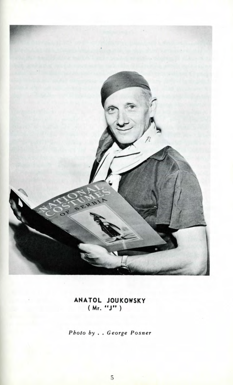

**ANATOL JOUKOWSKY ( Mr. "JM )**

*Photo by . . George Posner*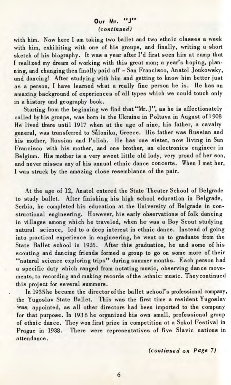## **Our Mr. "J"** *(continued)*

with him. Now here I am taking two ballet and two ethnic classes a week with him, exhibiting with one of his groups, and finally, writing a short sketch of his biography. It was a year after I'd first seen him at camp that I realized my dream of working with this great man; a year's hoping, planning, and changing then finally paid off - San Francisco, Anatol Joukowsky, and dancing! After studying with him and getting to know him better just as a person, I have learned what a really fine person he is. He has an amazing background of experiences of all types which we could touch only in a history and geography book.

Starting from the beginning we find that "Mr. J", as he is affectionately called by his groups, was born in the Ukraine in Poltava in August of 1908 He lived there until 1917 when at the age of nine, his father, a cavalry general, was transferred to Salonika, Greece. His father was Russian and his mother, Russian and Polish. He has one sister, now living in San Francisco with his mother, and one brother, an electronics engineer in Belgium. His mother is a very sweet little old lady, very proud of her son, and never misses any of his annual ethnic dance concerts. When I met her, I was struck by the amazing close resemblance of the pair.

At the age of 12, Anatol entered the State Theater School of Belgrade to study ballet. After finishing his high school education in Belgrade, Serbia, he completed his education at the University of Belgrade in constructional engineering. However, his early observations of folk dancing in villages among which he traveled, when he was a Boy Scout studying natural science, led to a deep interest in ethnic dance. Instead of going into practical experience in engineering, he went on to graduate from the State Ballet school in 1926. After this graduation, he and some of his scouting and dancing friends formed a group to go on some more of their "natural science exploring trips" during summer months. Each person had a specific duty which ranged from notating music, observing dance movements, to recording and making records of the ;ethnic; music. Theycontinued this project for several summers.

In 1935 he became the director of the ballet school's professional company, the Yugoslav State Ballet. This was the first time a resident Yugoslav was, appointed, as all other directors had been imported to the company for that purpose. In 1936 he organized his own small, professional group of ethnic dance. They won first prize in competition at a Sokol Festival in Prague in 1938. There were representatives of five Slavic nations in attendance.

*(continued on Page 7)*